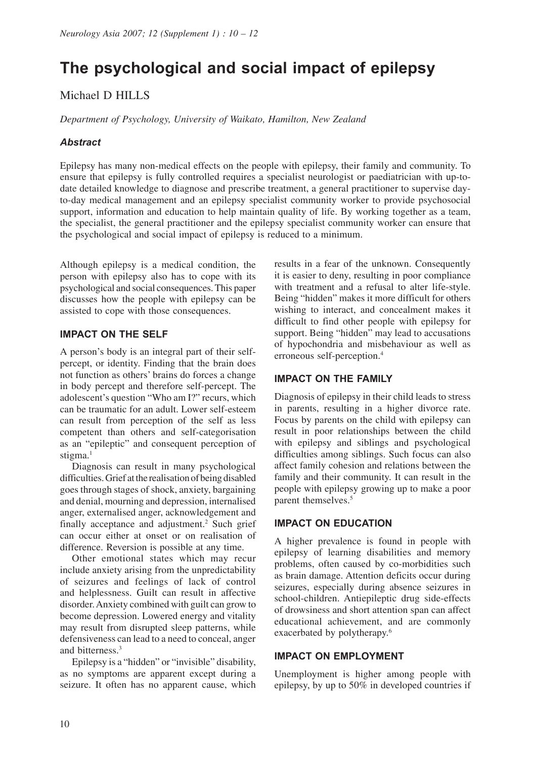# **The psychological and social impact of epilepsy**

# Michael D HILLS

*Department of Psychology, University of Waikato, Hamilton, New Zealand*

# *Abstract*

Epilepsy has many non-medical effects on the people with epilepsy, their family and community. To ensure that epilepsy is fully controlled requires a specialist neurologist or paediatrician with up-todate detailed knowledge to diagnose and prescribe treatment, a general practitioner to supervise dayto-day medical management and an epilepsy specialist community worker to provide psychosocial support, information and education to help maintain quality of life. By working together as a team, the specialist, the general practitioner and the epilepsy specialist community worker can ensure that the psychological and social impact of epilepsy is reduced to a minimum.

Although epilepsy is a medical condition, the person with epilepsy also has to cope with its psychological and social consequences. This paper discusses how the people with epilepsy can be assisted to cope with those consequences.

# **IMPACT ON THE SELF**

A person's body is an integral part of their selfpercept, or identity. Finding that the brain does not function as others' brains do forces a change in body percept and therefore self-percept. The adolescent's question "Who am I?" recurs, which can be traumatic for an adult. Lower self-esteem can result from perception of the self as less competent than others and self-categorisation as an "epileptic" and consequent perception of stigma.<sup>1</sup>

Diagnosis can result in many psychological difficulties. Grief at the realisation of being disabled goes through stages of shock, anxiety, bargaining and denial, mourning and depression, internalised anger, externalised anger, acknowledgement and finally acceptance and adjustment.<sup>2</sup> Such grief can occur either at onset or on realisation of difference. Reversion is possible at any time.

Other emotional states which may recur include anxiety arising from the unpredictability of seizures and feelings of lack of control and helplessness. Guilt can result in affective disorder. Anxiety combined with guilt can grow to become depression. Lowered energy and vitality may result from disrupted sleep patterns, while defensiveness can lead to a need to conceal, anger and bitterness.3

Epilepsy is a "hidden" or "invisible" disability, as no symptoms are apparent except during a seizure. It often has no apparent cause, which

results in a fear of the unknown. Consequently it is easier to deny, resulting in poor compliance with treatment and a refusal to alter life-style. Being "hidden" makes it more difficult for others wishing to interact, and concealment makes it difficult to find other people with epilepsy for support. Being "hidden" may lead to accusations of hypochondria and misbehaviour as well as erroneous self-perception.4

# **IMPACT ON THE FAMILY**

Diagnosis of epilepsy in their child leads to stress in parents, resulting in a higher divorce rate. Focus by parents on the child with epilepsy can result in poor relationships between the child with epilepsy and siblings and psychological difficulties among siblings. Such focus can also affect family cohesion and relations between the family and their community. It can result in the people with epilepsy growing up to make a poor parent themselves.<sup>5</sup>

#### **IMPACT ON EDUCATION**

A higher prevalence is found in people with epilepsy of learning disabilities and memory problems, often caused by co-morbidities such as brain damage. Attention deficits occur during seizures, especially during absence seizures in school-children. Antiepileptic drug side-effects of drowsiness and short attention span can affect educational achievement, and are commonly exacerbated by polytherapy.<sup>6</sup>

#### **IMPACT ON EMPLOYMENT**

Unemployment is higher among people with epilepsy, by up to 50% in developed countries if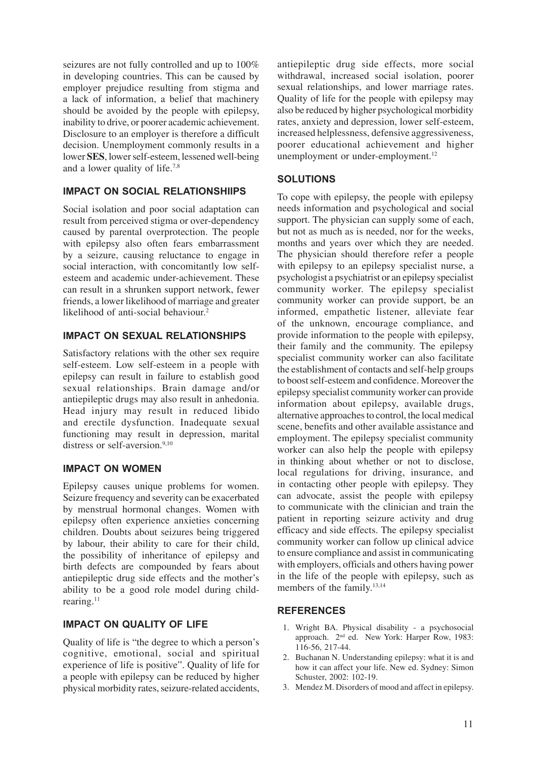seizures are not fully controlled and up to 100% in developing countries. This can be caused by employer prejudice resulting from stigma and a lack of information, a belief that machinery should be avoided by the people with epilepsy, inability to drive, or poorer academic achievement. Disclosure to an employer is therefore a difficult decision. Unemployment commonly results in a lower **SES**, lower self-esteem, lessened well-being and a lower quality of life.7,8

# **IMPACT ON SOCIAL RELATIONSHIIPS**

Social isolation and poor social adaptation can result from perceived stigma or over-dependency caused by parental overprotection. The people with epilepsy also often fears embarrassment by a seizure, causing reluctance to engage in social interaction, with concomitantly low selfesteem and academic under-achievement. These can result in a shrunken support network, fewer friends, a lower likelihood of marriage and greater likelihood of anti-social behaviour.<sup>2</sup>

# **IMPACT ON SEXUAL RELATIONSHIPS**

Satisfactory relations with the other sex require self-esteem. Low self-esteem in a people with epilepsy can result in failure to establish good sexual relationships. Brain damage and/or antiepileptic drugs may also result in anhedonia. Head injury may result in reduced libido and erectile dysfunction. Inadequate sexual functioning may result in depression, marital distress or self-aversion.<sup>9,10</sup>

#### **IMPACT ON WOMEN**

Epilepsy causes unique problems for women. Seizure frequency and severity can be exacerbated by menstrual hormonal changes. Women with epilepsy often experience anxieties concerning children. Doubts about seizures being triggered by labour, their ability to care for their child, the possibility of inheritance of epilepsy and birth defects are compounded by fears about antiepileptic drug side effects and the mother's ability to be a good role model during childrearing.<sup>11</sup>

#### **IMPACT ON QUALITY OF LIFE**

Quality of life is "the degree to which a person's cognitive, emotional, social and spiritual experience of life is positive". Quality of life for a people with epilepsy can be reduced by higher physical morbidity rates, seizure-related accidents,

antiepileptic drug side effects, more social withdrawal, increased social isolation, poorer sexual relationships, and lower marriage rates. Quality of life for the people with epilepsy may also be reduced by higher psychological morbidity rates, anxiety and depression, lower self-esteem, increased helplessness, defensive aggressiveness, poorer educational achievement and higher unemployment or under-employment.<sup>12</sup>

# **SOLUTIONS**

To cope with epilepsy, the people with epilepsy needs information and psychological and social support. The physician can supply some of each, but not as much as is needed, nor for the weeks, months and years over which they are needed. The physician should therefore refer a people with epilepsy to an epilepsy specialist nurse, a psychologist a psychiatrist or an epilepsy specialist community worker. The epilepsy specialist community worker can provide support, be an informed, empathetic listener, alleviate fear of the unknown, encourage compliance, and provide information to the people with epilepsy, their family and the community. The epilepsy specialist community worker can also facilitate the establishment of contacts and self-help groups to boost self-esteem and confidence. Moreover the epilepsy specialist community worker can provide information about epilepsy, available drugs, alternative approaches to control, the local medical scene, benefits and other available assistance and employment. The epilepsy specialist community worker can also help the people with epilepsy in thinking about whether or not to disclose, local regulations for driving, insurance, and in contacting other people with epilepsy. They can advocate, assist the people with epilepsy to communicate with the clinician and train the patient in reporting seizure activity and drug efficacy and side effects. The epilepsy specialist community worker can follow up clinical advice to ensure compliance and assist in communicating with employers, officials and others having power in the life of the people with epilepsy, such as members of the family.13,14

#### **REFERENCES**

- 1. Wright BA. Physical disability a psychosocial approach. 2nd ed. New York: Harper Row, 1983: 116-56, 217-44.
- 2. Buchanan N. Understanding epilepsy: what it is and how it can affect your life. New ed. Sydney: Simon Schuster, 2002: 102-19.
- 3. Mendez M. Disorders of mood and affect in epilepsy.